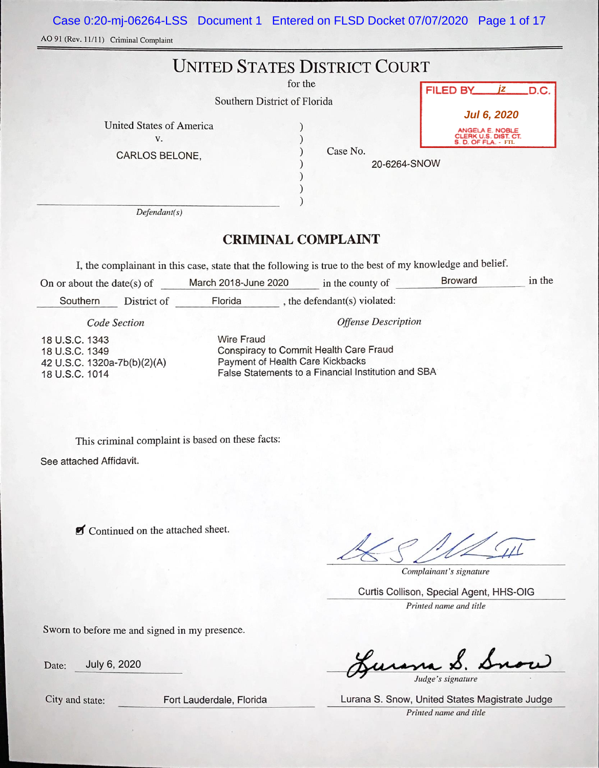Case 0:20-mj-06264-LSS Document 1 Entered on FLSD Docket 07/07/2020 Page 1 of 17

AO 91 (Rev. 11/11) Criminal Complaint

| Southern District of Florida                            | <b>UNITED STATES DISTRICT COURT</b><br>for the | FILED BY <i>iz</i> D.C.                                                              |
|---------------------------------------------------------|------------------------------------------------|--------------------------------------------------------------------------------------|
| <b>United States of America</b><br>V.<br>CARLOS BELONE, | Case No.<br>20-6264-SNOW                       | <b>Jul 6, 2020</b><br>ANGELA E. NOBLE<br>CLERK U.S. DIST. CT.<br>S. D. OF FLA. - FTL |
| Defendant(s)                                            |                                                |                                                                                      |

# CRIMINAL COMPLAINT

I, the complainant in this case, state that the following is true to the best of my knowledge and belief.

| On or about the date(s) of                                                                                                                                                                                                                  |             | March 2018-June 2020 | in the county of             | <b>Broward</b> | in the |
|---------------------------------------------------------------------------------------------------------------------------------------------------------------------------------------------------------------------------------------------|-------------|----------------------|------------------------------|----------------|--------|
| Southern                                                                                                                                                                                                                                    | District of | Florida              | , the defendant(s) violated: |                |        |
| Code Section                                                                                                                                                                                                                                |             |                      | <b>Offense Description</b>   |                |        |
| <b>Wire Fraud</b><br>18 U.S.C. 1343<br>Conspiracy to Commit Health Care Fraud<br>18 U.S.C. 1349<br>Payment of Health Care Kickbacks<br>42 U.S.C. 1320a-7b(b)(2)(A)<br>False Statements to a Financial Institution and SBA<br>18 U.S.C. 1014 |             |                      |                              |                |        |

This criminal complaint is based on these facts:

See attached Affidavit.

**Z** Continued on the attached sheet.

44

Complainant 's signature

Curtis Collison, Special Agent, HHS-OIG Printed name and title

Sworn to before me and signed in my presence.

Date: July 6, 2020

 $\boldsymbol{\mathcal{S}}$ Judge 's signature

Lurana S. Snow, United States Magistrate Judge

City and state: Fort Lauderdale, Florida

Printed name and title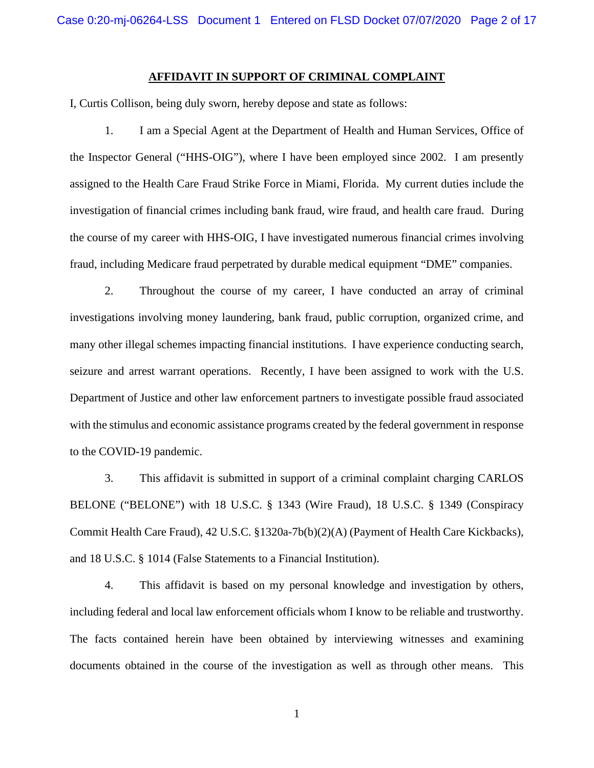### **AFFIDAVIT IN SUPPORT OF CRIMINAL COMPLAINT**

I, Curtis Collison, being duly sworn, hereby depose and state as follows:

1. I am a Special Agent at the Department of Health and Human Services, Office of the Inspector General ("HHS-OIG"), where I have been employed since 2002. I am presently assigned to the Health Care Fraud Strike Force in Miami, Florida. My current duties include the investigation of financial crimes including bank fraud, wire fraud, and health care fraud. During the course of my career with HHS-OIG, I have investigated numerous financial crimes involving fraud, including Medicare fraud perpetrated by durable medical equipment "DME" companies.

2. Throughout the course of my career, I have conducted an array of criminal investigations involving money laundering, bank fraud, public corruption, organized crime, and many other illegal schemes impacting financial institutions. I have experience conducting search, seizure and arrest warrant operations. Recently, I have been assigned to work with the U.S. Department of Justice and other law enforcement partners to investigate possible fraud associated with the stimulus and economic assistance programs created by the federal government in response to the COVID-19 pandemic.

3. This affidavit is submitted in support of a criminal complaint charging CARLOS BELONE ("BELONE") with 18 U.S.C. § 1343 (Wire Fraud), 18 U.S.C. § 1349 (Conspiracy Commit Health Care Fraud), 42 U.S.C. §1320a-7b(b)(2)(A) (Payment of Health Care Kickbacks), and 18 U.S.C. § 1014 (False Statements to a Financial Institution).

4. This affidavit is based on my personal knowledge and investigation by others, including federal and local law enforcement officials whom I know to be reliable and trustworthy. The facts contained herein have been obtained by interviewing witnesses and examining documents obtained in the course of the investigation as well as through other means. This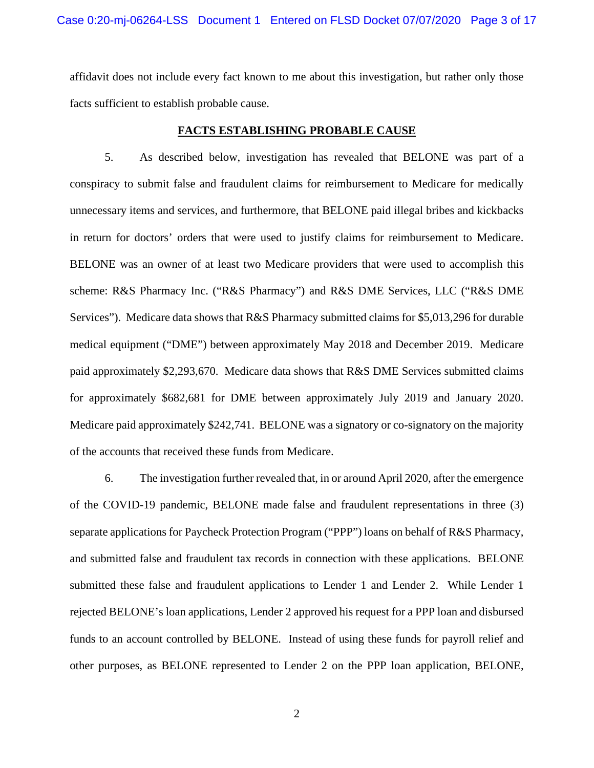affidavit does not include every fact known to me about this investigation, but rather only those facts sufficient to establish probable cause.

### **FACTS ESTABLISHING PROBABLE CAUSE**

5. As described below, investigation has revealed that BELONE was part of a conspiracy to submit false and fraudulent claims for reimbursement to Medicare for medically unnecessary items and services, and furthermore, that BELONE paid illegal bribes and kickbacks in return for doctors' orders that were used to justify claims for reimbursement to Medicare. BELONE was an owner of at least two Medicare providers that were used to accomplish this scheme: R&S Pharmacy Inc. ("R&S Pharmacy") and R&S DME Services, LLC ("R&S DME Services"). Medicare data shows that R&S Pharmacy submitted claims for \$5,013,296 for durable medical equipment ("DME") between approximately May 2018 and December 2019. Medicare paid approximately \$2,293,670. Medicare data shows that R&S DME Services submitted claims for approximately \$682,681 for DME between approximately July 2019 and January 2020. Medicare paid approximately \$242,741. BELONE was a signatory or co-signatory on the majority of the accounts that received these funds from Medicare.

6. The investigation further revealed that, in or around April 2020, after the emergence of the COVID-19 pandemic, BELONE made false and fraudulent representations in three (3) separate applications for Paycheck Protection Program ("PPP") loans on behalf of R&S Pharmacy, and submitted false and fraudulent tax records in connection with these applications. BELONE submitted these false and fraudulent applications to Lender 1 and Lender 2. While Lender 1 rejected BELONE's loan applications, Lender 2 approved his request for a PPP loan and disbursed funds to an account controlled by BELONE. Instead of using these funds for payroll relief and other purposes, as BELONE represented to Lender 2 on the PPP loan application, BELONE,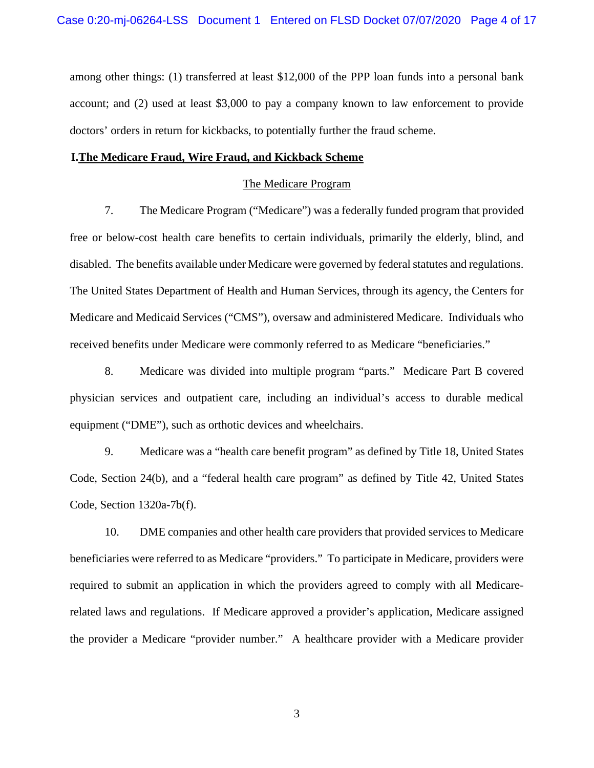among other things: (1) transferred at least \$12,000 of the PPP loan funds into a personal bank account; and (2) used at least \$3,000 to pay a company known to law enforcement to provide doctors' orders in return for kickbacks, to potentially further the fraud scheme.

## **I.The Medicare Fraud, Wire Fraud, and Kickback Scheme**

# The Medicare Program

7. The Medicare Program ("Medicare") was a federally funded program that provided free or below-cost health care benefits to certain individuals, primarily the elderly, blind, and disabled. The benefits available under Medicare were governed by federal statutes and regulations. The United States Department of Health and Human Services, through its agency, the Centers for Medicare and Medicaid Services ("CMS"), oversaw and administered Medicare. Individuals who received benefits under Medicare were commonly referred to as Medicare "beneficiaries."

8. Medicare was divided into multiple program "parts." Medicare Part B covered physician services and outpatient care, including an individual's access to durable medical equipment ("DME"), such as orthotic devices and wheelchairs.

9. Medicare was a "health care benefit program" as defined by Title 18, United States Code, Section 24(b), and a "federal health care program" as defined by Title 42, United States Code, Section 1320a-7b(f).

10. DME companies and other health care providers that provided services to Medicare beneficiaries were referred to as Medicare "providers." To participate in Medicare, providers were required to submit an application in which the providers agreed to comply with all Medicarerelated laws and regulations. If Medicare approved a provider's application, Medicare assigned the provider a Medicare "provider number." A healthcare provider with a Medicare provider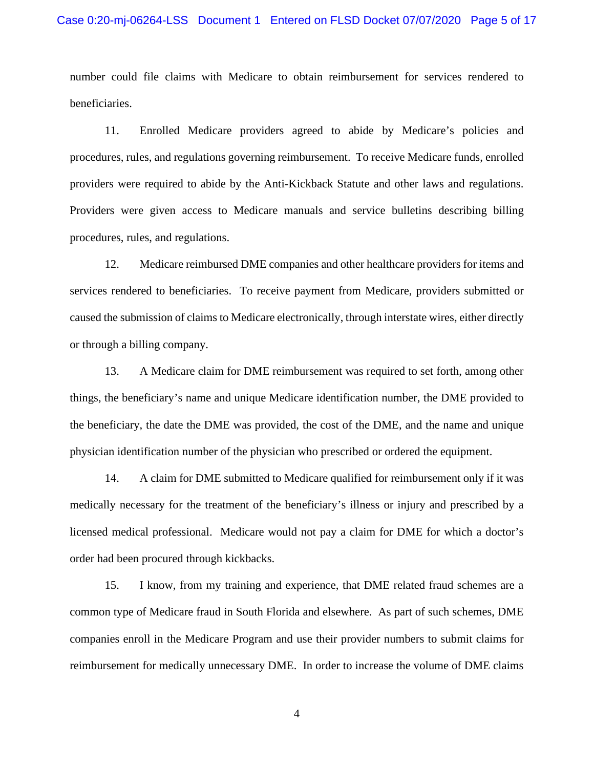number could file claims with Medicare to obtain reimbursement for services rendered to beneficiaries.

11. Enrolled Medicare providers agreed to abide by Medicare's policies and procedures, rules, and regulations governing reimbursement. To receive Medicare funds, enrolled providers were required to abide by the Anti-Kickback Statute and other laws and regulations. Providers were given access to Medicare manuals and service bulletins describing billing procedures, rules, and regulations.

12. Medicare reimbursed DME companies and other healthcare providers for items and services rendered to beneficiaries. To receive payment from Medicare, providers submitted or caused the submission of claims to Medicare electronically, through interstate wires, either directly or through a billing company.

13. A Medicare claim for DME reimbursement was required to set forth, among other things, the beneficiary's name and unique Medicare identification number, the DME provided to the beneficiary, the date the DME was provided, the cost of the DME, and the name and unique physician identification number of the physician who prescribed or ordered the equipment.

14. A claim for DME submitted to Medicare qualified for reimbursement only if it was medically necessary for the treatment of the beneficiary's illness or injury and prescribed by a licensed medical professional. Medicare would not pay a claim for DME for which a doctor's order had been procured through kickbacks.

15. I know, from my training and experience, that DME related fraud schemes are a common type of Medicare fraud in South Florida and elsewhere. As part of such schemes, DME companies enroll in the Medicare Program and use their provider numbers to submit claims for reimbursement for medically unnecessary DME. In order to increase the volume of DME claims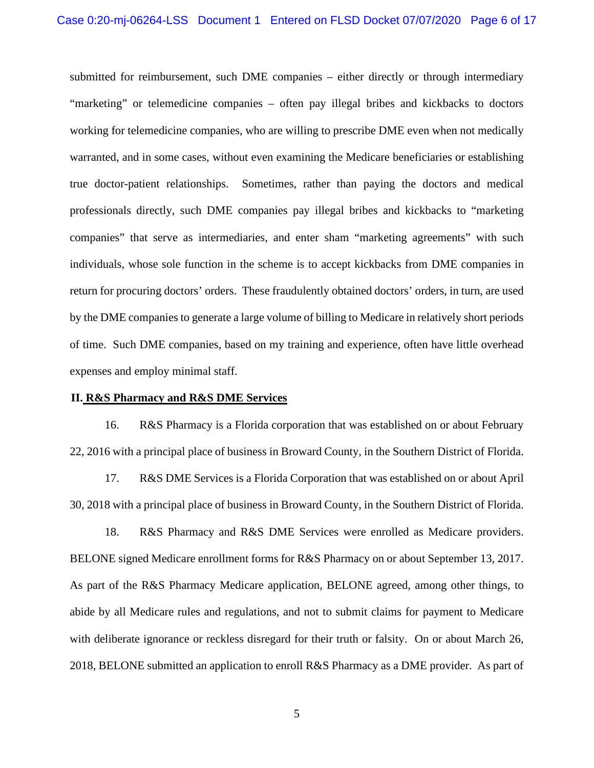submitted for reimbursement, such DME companies – either directly or through intermediary "marketing" or telemedicine companies – often pay illegal bribes and kickbacks to doctors working for telemedicine companies, who are willing to prescribe DME even when not medically warranted, and in some cases, without even examining the Medicare beneficiaries or establishing true doctor-patient relationships. Sometimes, rather than paying the doctors and medical professionals directly, such DME companies pay illegal bribes and kickbacks to "marketing companies" that serve as intermediaries, and enter sham "marketing agreements" with such individuals, whose sole function in the scheme is to accept kickbacks from DME companies in return for procuring doctors' orders. These fraudulently obtained doctors' orders, in turn, are used by the DME companies to generate a large volume of billing to Medicare in relatively short periods of time. Such DME companies, based on my training and experience, often have little overhead expenses and employ minimal staff.

#### **II. R&S Pharmacy and R&S DME Services**

16. R&S Pharmacy is a Florida corporation that was established on or about February 22, 2016 with a principal place of business in Broward County, in the Southern District of Florida.

17. R&S DME Services is a Florida Corporation that was established on or about April 30, 2018 with a principal place of business in Broward County, in the Southern District of Florida.

18. R&S Pharmacy and R&S DME Services were enrolled as Medicare providers. BELONE signed Medicare enrollment forms for R&S Pharmacy on or about September 13, 2017. As part of the R&S Pharmacy Medicare application, BELONE agreed, among other things, to abide by all Medicare rules and regulations, and not to submit claims for payment to Medicare with deliberate ignorance or reckless disregard for their truth or falsity. On or about March 26, 2018, BELONE submitted an application to enroll R&S Pharmacy as a DME provider. As part of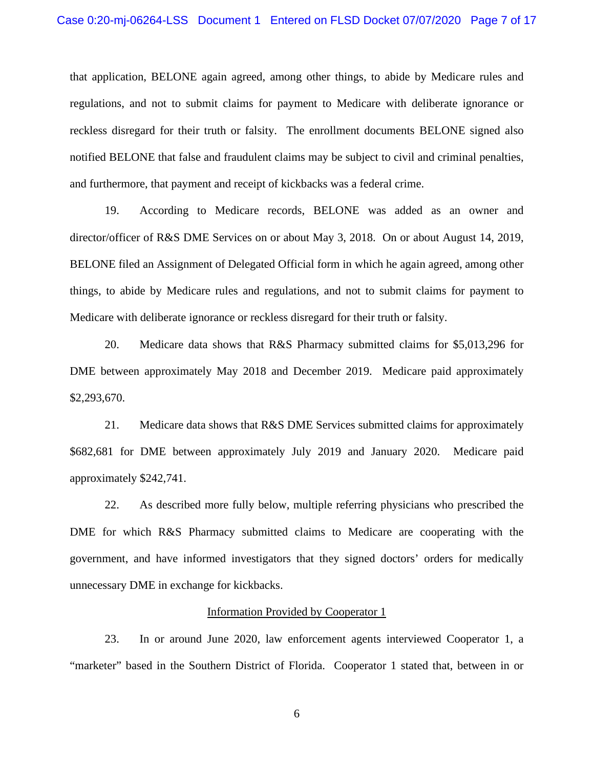that application, BELONE again agreed, among other things, to abide by Medicare rules and regulations, and not to submit claims for payment to Medicare with deliberate ignorance or reckless disregard for their truth or falsity. The enrollment documents BELONE signed also notified BELONE that false and fraudulent claims may be subject to civil and criminal penalties, and furthermore, that payment and receipt of kickbacks was a federal crime.

19. According to Medicare records, BELONE was added as an owner and director/officer of R&S DME Services on or about May 3, 2018. On or about August 14, 2019, BELONE filed an Assignment of Delegated Official form in which he again agreed, among other things, to abide by Medicare rules and regulations, and not to submit claims for payment to Medicare with deliberate ignorance or reckless disregard for their truth or falsity.

20. Medicare data shows that R&S Pharmacy submitted claims for \$5,013,296 for DME between approximately May 2018 and December 2019. Medicare paid approximately \$2,293,670.

21. Medicare data shows that R&S DME Services submitted claims for approximately \$682,681 for DME between approximately July 2019 and January 2020. Medicare paid approximately \$242,741.

22. As described more fully below, multiple referring physicians who prescribed the DME for which R&S Pharmacy submitted claims to Medicare are cooperating with the government, and have informed investigators that they signed doctors' orders for medically unnecessary DME in exchange for kickbacks.

#### Information Provided by Cooperator 1

23. In or around June 2020, law enforcement agents interviewed Cooperator 1, a "marketer" based in the Southern District of Florida. Cooperator 1 stated that, between in or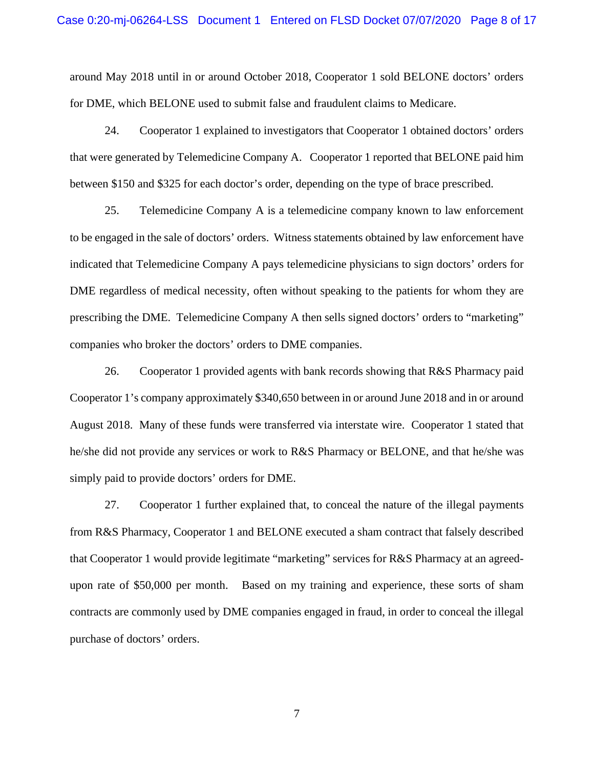around May 2018 until in or around October 2018, Cooperator 1 sold BELONE doctors' orders for DME, which BELONE used to submit false and fraudulent claims to Medicare.

24. Cooperator 1 explained to investigators that Cooperator 1 obtained doctors' orders that were generated by Telemedicine Company A. Cooperator 1 reported that BELONE paid him between \$150 and \$325 for each doctor's order, depending on the type of brace prescribed.

25. Telemedicine Company A is a telemedicine company known to law enforcement to be engaged in the sale of doctors' orders. Witness statements obtained by law enforcement have indicated that Telemedicine Company A pays telemedicine physicians to sign doctors' orders for DME regardless of medical necessity, often without speaking to the patients for whom they are prescribing the DME. Telemedicine Company A then sells signed doctors' orders to "marketing" companies who broker the doctors' orders to DME companies.

26. Cooperator 1 provided agents with bank records showing that R&S Pharmacy paid Cooperator 1's company approximately \$340,650 between in or around June 2018 and in or around August 2018. Many of these funds were transferred via interstate wire. Cooperator 1 stated that he/she did not provide any services or work to R&S Pharmacy or BELONE, and that he/she was simply paid to provide doctors' orders for DME.

27. Cooperator 1 further explained that, to conceal the nature of the illegal payments from R&S Pharmacy, Cooperator 1 and BELONE executed a sham contract that falsely described that Cooperator 1 would provide legitimate "marketing" services for R&S Pharmacy at an agreedupon rate of \$50,000 per month. Based on my training and experience, these sorts of sham contracts are commonly used by DME companies engaged in fraud, in order to conceal the illegal purchase of doctors' orders.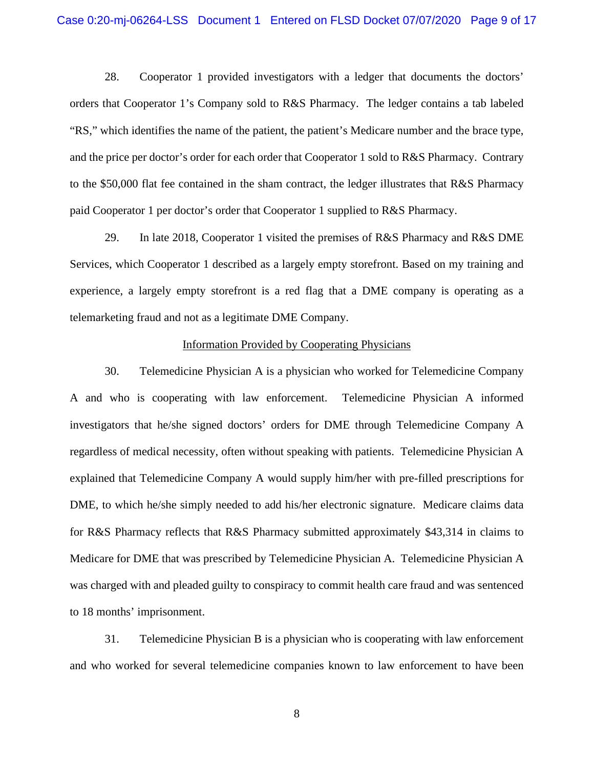28. Cooperator 1 provided investigators with a ledger that documents the doctors' orders that Cooperator 1's Company sold to R&S Pharmacy. The ledger contains a tab labeled "RS," which identifies the name of the patient, the patient's Medicare number and the brace type, and the price per doctor's order for each order that Cooperator 1 sold to R&S Pharmacy. Contrary to the \$50,000 flat fee contained in the sham contract, the ledger illustrates that R&S Pharmacy paid Cooperator 1 per doctor's order that Cooperator 1 supplied to R&S Pharmacy.

29. In late 2018, Cooperator 1 visited the premises of R&S Pharmacy and R&S DME Services, which Cooperator 1 described as a largely empty storefront. Based on my training and experience, a largely empty storefront is a red flag that a DME company is operating as a telemarketing fraud and not as a legitimate DME Company.

#### Information Provided by Cooperating Physicians

30. Telemedicine Physician A is a physician who worked for Telemedicine Company A and who is cooperating with law enforcement. Telemedicine Physician A informed investigators that he/she signed doctors' orders for DME through Telemedicine Company A regardless of medical necessity, often without speaking with patients. Telemedicine Physician A explained that Telemedicine Company A would supply him/her with pre-filled prescriptions for DME, to which he/she simply needed to add his/her electronic signature. Medicare claims data for R&S Pharmacy reflects that R&S Pharmacy submitted approximately \$43,314 in claims to Medicare for DME that was prescribed by Telemedicine Physician A. Telemedicine Physician A was charged with and pleaded guilty to conspiracy to commit health care fraud and was sentenced to 18 months' imprisonment.

31. Telemedicine Physician B is a physician who is cooperating with law enforcement and who worked for several telemedicine companies known to law enforcement to have been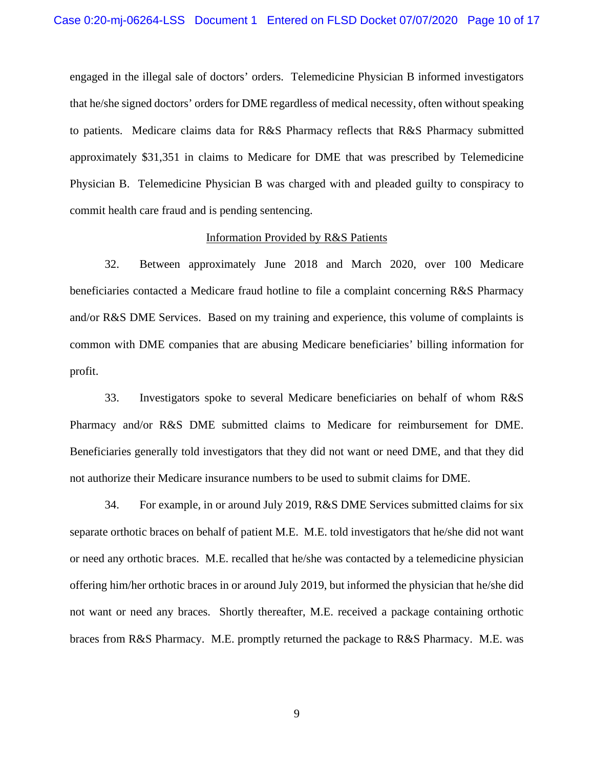engaged in the illegal sale of doctors' orders. Telemedicine Physician B informed investigators that he/she signed doctors' orders for DME regardless of medical necessity, often without speaking to patients. Medicare claims data for R&S Pharmacy reflects that R&S Pharmacy submitted approximately \$31,351 in claims to Medicare for DME that was prescribed by Telemedicine Physician B. Telemedicine Physician B was charged with and pleaded guilty to conspiracy to commit health care fraud and is pending sentencing.

### Information Provided by R&S Patients

32. Between approximately June 2018 and March 2020, over 100 Medicare beneficiaries contacted a Medicare fraud hotline to file a complaint concerning R&S Pharmacy and/or R&S DME Services. Based on my training and experience, this volume of complaints is common with DME companies that are abusing Medicare beneficiaries' billing information for profit.

33. Investigators spoke to several Medicare beneficiaries on behalf of whom R&S Pharmacy and/or R&S DME submitted claims to Medicare for reimbursement for DME. Beneficiaries generally told investigators that they did not want or need DME, and that they did not authorize their Medicare insurance numbers to be used to submit claims for DME.

34. For example, in or around July 2019, R&S DME Services submitted claims for six separate orthotic braces on behalf of patient M.E. M.E. told investigators that he/she did not want or need any orthotic braces. M.E. recalled that he/she was contacted by a telemedicine physician offering him/her orthotic braces in or around July 2019, but informed the physician that he/she did not want or need any braces. Shortly thereafter, M.E. received a package containing orthotic braces from R&S Pharmacy. M.E. promptly returned the package to R&S Pharmacy. M.E. was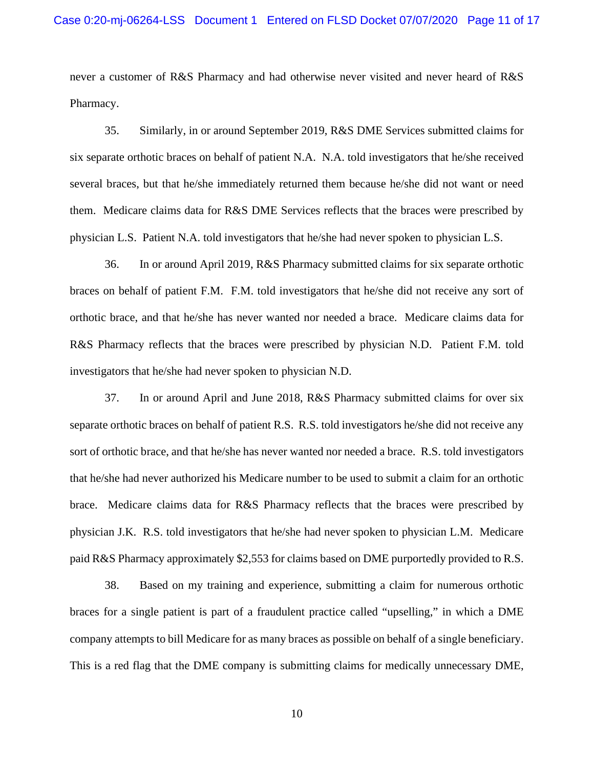never a customer of R&S Pharmacy and had otherwise never visited and never heard of R&S Pharmacy.

35. Similarly, in or around September 2019, R&S DME Services submitted claims for six separate orthotic braces on behalf of patient N.A. N.A. told investigators that he/she received several braces, but that he/she immediately returned them because he/she did not want or need them. Medicare claims data for R&S DME Services reflects that the braces were prescribed by physician L.S. Patient N.A. told investigators that he/she had never spoken to physician L.S.

36. In or around April 2019, R&S Pharmacy submitted claims for six separate orthotic braces on behalf of patient F.M. F.M. told investigators that he/she did not receive any sort of orthotic brace, and that he/she has never wanted nor needed a brace. Medicare claims data for R&S Pharmacy reflects that the braces were prescribed by physician N.D. Patient F.M. told investigators that he/she had never spoken to physician N.D.

37. In or around April and June 2018, R&S Pharmacy submitted claims for over six separate orthotic braces on behalf of patient R.S. R.S. told investigators he/she did not receive any sort of orthotic brace, and that he/she has never wanted nor needed a brace. R.S. told investigators that he/she had never authorized his Medicare number to be used to submit a claim for an orthotic brace. Medicare claims data for R&S Pharmacy reflects that the braces were prescribed by physician J.K. R.S. told investigators that he/she had never spoken to physician L.M. Medicare paid R&S Pharmacy approximately \$2,553 for claims based on DME purportedly provided to R.S.

38. Based on my training and experience, submitting a claim for numerous orthotic braces for a single patient is part of a fraudulent practice called "upselling," in which a DME company attempts to bill Medicare for as many braces as possible on behalf of a single beneficiary. This is a red flag that the DME company is submitting claims for medically unnecessary DME,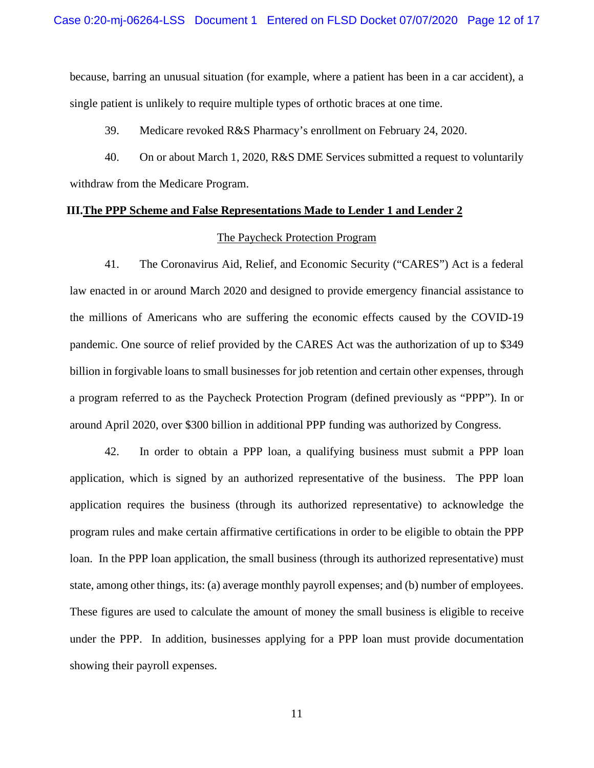because, barring an unusual situation (for example, where a patient has been in a car accident), a single patient is unlikely to require multiple types of orthotic braces at one time.

39. Medicare revoked R&S Pharmacy's enrollment on February 24, 2020.

40. On or about March 1, 2020, R&S DME Services submitted a request to voluntarily withdraw from the Medicare Program.

# **III.The PPP Scheme and False Representations Made to Lender 1 and Lender 2**

### The Paycheck Protection Program

41. The Coronavirus Aid, Relief, and Economic Security ("CARES") Act is a federal law enacted in or around March 2020 and designed to provide emergency financial assistance to the millions of Americans who are suffering the economic effects caused by the COVID-19 pandemic. One source of relief provided by the CARES Act was the authorization of up to \$349 billion in forgivable loans to small businesses for job retention and certain other expenses, through a program referred to as the Paycheck Protection Program (defined previously as "PPP"). In or around April 2020, over \$300 billion in additional PPP funding was authorized by Congress.

42. In order to obtain a PPP loan, a qualifying business must submit a PPP loan application, which is signed by an authorized representative of the business. The PPP loan application requires the business (through its authorized representative) to acknowledge the program rules and make certain affirmative certifications in order to be eligible to obtain the PPP loan. In the PPP loan application, the small business (through its authorized representative) must state, among other things, its: (a) average monthly payroll expenses; and (b) number of employees. These figures are used to calculate the amount of money the small business is eligible to receive under the PPP. In addition, businesses applying for a PPP loan must provide documentation showing their payroll expenses.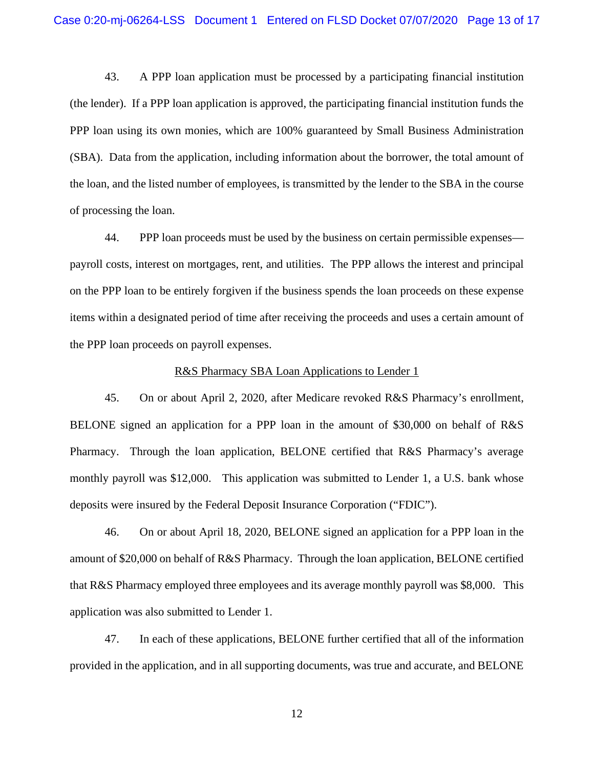43. A PPP loan application must be processed by a participating financial institution (the lender). If a PPP loan application is approved, the participating financial institution funds the PPP loan using its own monies, which are 100% guaranteed by Small Business Administration (SBA). Data from the application, including information about the borrower, the total amount of the loan, and the listed number of employees, is transmitted by the lender to the SBA in the course of processing the loan.

44. PPP loan proceeds must be used by the business on certain permissible expenses payroll costs, interest on mortgages, rent, and utilities. The PPP allows the interest and principal on the PPP loan to be entirely forgiven if the business spends the loan proceeds on these expense items within a designated period of time after receiving the proceeds and uses a certain amount of the PPP loan proceeds on payroll expenses.

#### R&S Pharmacy SBA Loan Applications to Lender 1

45. On or about April 2, 2020, after Medicare revoked R&S Pharmacy's enrollment, BELONE signed an application for a PPP loan in the amount of \$30,000 on behalf of R&S Pharmacy. Through the loan application, BELONE certified that R&S Pharmacy's average monthly payroll was \$12,000. This application was submitted to Lender 1, a U.S. bank whose deposits were insured by the Federal Deposit Insurance Corporation ("FDIC").

46. On or about April 18, 2020, BELONE signed an application for a PPP loan in the amount of \$20,000 on behalf of R&S Pharmacy. Through the loan application, BELONE certified that R&S Pharmacy employed three employees and its average monthly payroll was \$8,000. This application was also submitted to Lender 1.

47. In each of these applications, BELONE further certified that all of the information provided in the application, and in all supporting documents, was true and accurate, and BELONE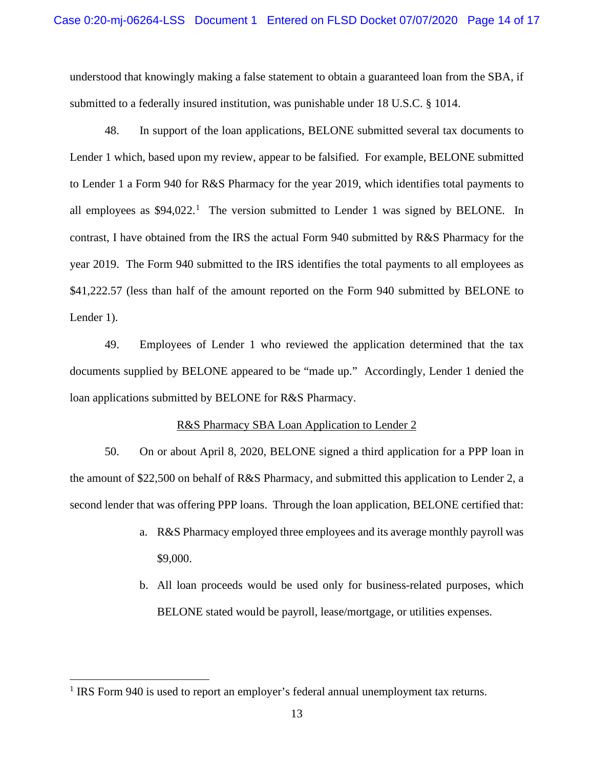understood that knowingly making a false statement to obtain a guaranteed loan from the SBA, if submitted to a federally insured institution, was punishable under 18 U.S.C. § 1014.

48. In support of the loan applications, BELONE submitted several tax documents to Lender 1 which, based upon my review, appear to be falsified. For example, BELONE submitted to Lender 1 a Form 940 for R&S Pharmacy for the year 2019, which identifies total payments to all employees as  $$94,022$ <sup>1</sup>. The version submitted to Lender 1 was signed by BELONE. In contrast, I have obtained from the IRS the actual Form 940 submitted by R&S Pharmacy for the year 2019. The Form 940 submitted to the IRS identifies the total payments to all employees as \$41,222.57 (less than half of the amount reported on the Form 940 submitted by BELONE to Lender 1).

49. Employees of Lender 1 who reviewed the application determined that the tax documents supplied by BELONE appeared to be "made up." Accordingly, Lender 1 denied the loan applications submitted by BELONE for R&S Pharmacy.

# R&S Pharmacy SBA Loan Application to Lender 2

50. On or about April 8, 2020, BELONE signed a third application for a PPP loan in the amount of \$22,500 on behalf of R&S Pharmacy, and submitted this application to Lender 2, a second lender that was offering PPP loans. Through the loan application, BELONE certified that:

- a. R&S Pharmacy employed three employees and its average monthly payroll was \$9,000.
- b. All loan proceeds would be used only for business-related purposes, which BELONE stated would be payroll, lease/mortgage, or utilities expenses.

<sup>&</sup>lt;sup>1</sup> IRS Form 940 is used to report an employer's federal annual unemployment tax returns.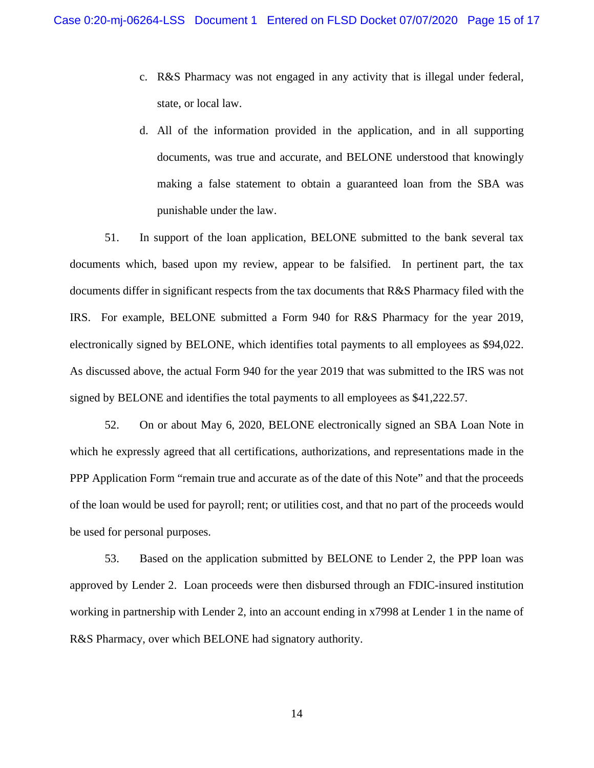- c. R&S Pharmacy was not engaged in any activity that is illegal under federal, state, or local law.
- d. All of the information provided in the application, and in all supporting documents, was true and accurate, and BELONE understood that knowingly making a false statement to obtain a guaranteed loan from the SBA was punishable under the law.

51. In support of the loan application, BELONE submitted to the bank several tax documents which, based upon my review, appear to be falsified. In pertinent part, the tax documents differ in significant respects from the tax documents that R&S Pharmacy filed with the IRS. For example, BELONE submitted a Form 940 for R&S Pharmacy for the year 2019, electronically signed by BELONE, which identifies total payments to all employees as \$94,022. As discussed above, the actual Form 940 for the year 2019 that was submitted to the IRS was not signed by BELONE and identifies the total payments to all employees as \$41,222.57.

52. On or about May 6, 2020, BELONE electronically signed an SBA Loan Note in which he expressly agreed that all certifications, authorizations, and representations made in the PPP Application Form "remain true and accurate as of the date of this Note" and that the proceeds of the loan would be used for payroll; rent; or utilities cost, and that no part of the proceeds would be used for personal purposes.

53. Based on the application submitted by BELONE to Lender 2, the PPP loan was approved by Lender 2. Loan proceeds were then disbursed through an FDIC-insured institution working in partnership with Lender 2, into an account ending in x7998 at Lender 1 in the name of R&S Pharmacy, over which BELONE had signatory authority.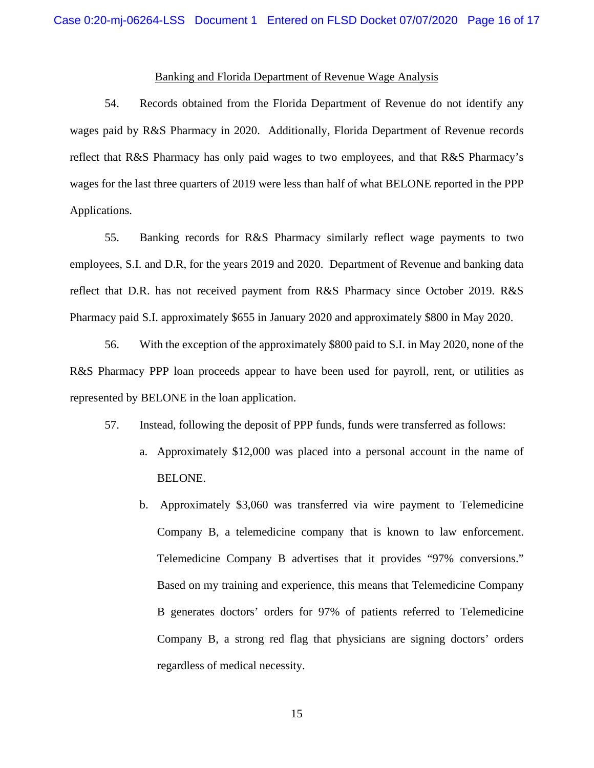# Banking and Florida Department of Revenue Wage Analysis

54. Records obtained from the Florida Department of Revenue do not identify any wages paid by R&S Pharmacy in 2020. Additionally, Florida Department of Revenue records reflect that R&S Pharmacy has only paid wages to two employees, and that R&S Pharmacy's wages for the last three quarters of 2019 were less than half of what BELONE reported in the PPP Applications.

55. Banking records for R&S Pharmacy similarly reflect wage payments to two employees, S.I. and D.R, for the years 2019 and 2020. Department of Revenue and banking data reflect that D.R. has not received payment from R&S Pharmacy since October 2019. R&S Pharmacy paid S.I. approximately \$655 in January 2020 and approximately \$800 in May 2020.

56. With the exception of the approximately \$800 paid to S.I. in May 2020, none of the R&S Pharmacy PPP loan proceeds appear to have been used for payroll, rent, or utilities as represented by BELONE in the loan application.

- 57. Instead, following the deposit of PPP funds, funds were transferred as follows:
	- a. Approximately \$12,000 was placed into a personal account in the name of BELONE.
	- b. Approximately \$3,060 was transferred via wire payment to Telemedicine Company B, a telemedicine company that is known to law enforcement. Telemedicine Company B advertises that it provides "97% conversions." Based on my training and experience, this means that Telemedicine Company B generates doctors' orders for 97% of patients referred to Telemedicine Company B, a strong red flag that physicians are signing doctors' orders regardless of medical necessity.